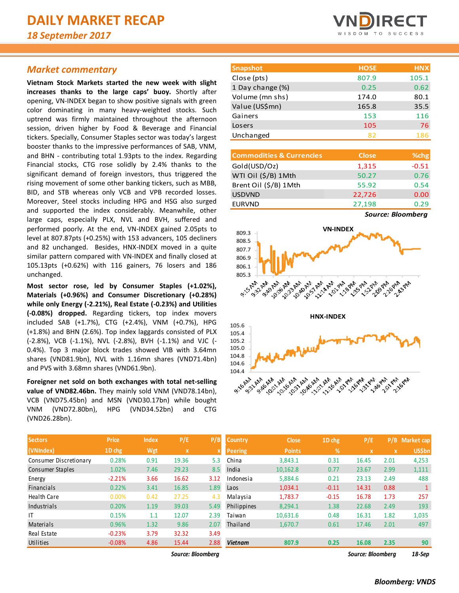# *Market commentary*

**Vietnam Stock Markets started the new week with slight increases thanks to the large caps' buoy.** Shortly after opening, VN-INDEX began to show positive signals with green color dominating in many heavy-weighted stocks. Such uptrend was firmly maintained throughout the afternoon session, driven higher by Food & Beverage and Financial tickers. Specially, Consumer Staples sector was today's largest booster thanks to the impressive performances of SAB, VNM, and BHN - contributing total 1.93pts to the index. Regarding Financial stocks, CTG rose solidly by 2.4% thanks to the significant demand of foreign investors, thus triggered the rising movement of some other banking tickers, such as MBB, BID, and STB whereas only VCB and VPB recorded losses. Moreover, Steel stocks including HPG and HSG also surged and supported the index considerably. Meanwhile, other large caps, especially PLX, NVL and BVH, suffered and performed poorly. At the end, VN-INDEX gained 2.05pts to level at 807.87pts (+0.25%) with 153 advancers, 105 decliners and 82 unchanged. Besides, HNX-INDEX moved in a quite similar pattern compared with VN-INDEX and finally closed at 105.13pts (+0.62%) with 116 gainers, 76 losers and 186 unchanged.

**Most sector rose, led by Consumer Staples (+1.02%), Materials (+0.96%) and Consumer Discretionary (+0.28%) while only Energy (-2.21%), Real Estate (-0.23%) and Utilities (-0.08%) dropped.** Regarding tickers, top index movers included SAB (+1.7%), CTG (+2.4%), VNM (+0.7%), HPG (+1.8%) and BHN (2.6%). Top index laggards consisted of PLX (-2.8%), VCB (-1.1%), NVL (-2.8%), BVH (-1.1%) and VJC (- 0.4%). Top 3 major block trades showed VIB with 3.64mn shares (VND81.9bn), NVL with 1.16mn shares (VND71.4bn) and PVS with 3.68mn shares (VND61.9bn).

**Foreigner net sold on both exchanges with total net-selling value of VND82.46bn.** They mainly sold VNM (VND78.14bn), VCB (VND75.45bn) and MSN (VND30.17bn) while bought VNM (VND72.80bn), HPG (VND34.52bn) and CTG (VND26.28bn).



| <b>Snapshot</b>  | <b>HOSE</b> | <b>HNX</b> |
|------------------|-------------|------------|
| Close (pts)      | 807.9       | 105.1      |
| 1 Day change (%) | 0.25        | 0.62       |
| Volume (mn shs)  | 174.0       | 80.1       |
| Value (US\$mn)   | 165.8       | 35.5       |
| Gainers          | 153         | 116        |
| Losers           | 105         | 76         |
| Unchanged        | 82          | 186        |

| <b>Commodities &amp; Currencies</b> | <b>Close</b> | % <sub>chg</sub> |
|-------------------------------------|--------------|------------------|
| Gold(USD/Oz)                        | 1,315        | $-0.51$          |
| WTI Oil (\$/B) 1Mth                 | 50.27        | 0.76             |
| Brent Oil (\$/B) 1Mth               | 55.92        | 0.54             |
| <b>USDVND</b>                       | 22,726       | 0.00             |
| <b>EURVND</b>                       | 27,198       | 0.29             |
|                                     | -            | . .              |

*Source: Bloomberg*



| <b>Sectors</b>         | <b>Price</b> | <b>Index</b> | P/E          | P/B                       | <b>Country</b> | <b>Close</b>  | 1D chg        | P/E          | P/B         | Market cap    |
|------------------------|--------------|--------------|--------------|---------------------------|----------------|---------------|---------------|--------------|-------------|---------------|
| (VNIndex)              | 1D chg       | Wgt          | $\mathbf{x}$ | $\boldsymbol{\mathsf{x}}$ | <b>Peering</b> | <b>Points</b> | $\frac{9}{6}$ | $\mathbf{x}$ | $\mathbf x$ | <b>US\$bn</b> |
| Consumer Discretionary | 0.28%        | 0.91         | 19.36        | 5.3                       | China          | 3.843.1       | 0.31          | 16.45        | 2.01        | 4,253         |
| Consumer Staples       | 1.02%        | 7.46         | 29.23        | 8.5                       | India          | 10,162.8      | 0.77          | 23.67        | 2.99        | 1,111         |
| Energy                 | $-2.21%$     | 3.66         | 16.62        | 3.12                      | Indonesia      | 5,884.6       | 0.21          | 23.13        | 2.49        | 488           |
| <b>Financials</b>      | 0.22%        | 3.41         | 16.85        | 1.89                      | Laos           | 1,034.1       | $-0.11$       | 14.31        | 0.88        |               |
| <b>Health Care</b>     | 0.00%        | 0.42         | 27.25        | 4.3                       | Malaysia       | 1,783.7       | $-0.15$       | 16.78        | 1.73        | 257           |
| Industrials            | 0.20%        | 1.19         | 39.03        | 5.49                      | Philippines    | 8,294.1       | 1.38          | 22.68        | 2.49        | 193           |
| IT                     | 0.15%        | 1.1          | 12.07        | 2.39                      | Taiwan         | 10.631.6      | 0.48          | 16.31        | 1.82        | 1,035         |
| <b>Materials</b>       | 0.96%        | 1.32         | 9.86         | 2.07                      | Thailand       | 1,670.7       | 0.61          | 17.46        | 2.01        | 497           |
| Real Estate            | $-0.23%$     | 3.79         | 32.32        | 3.49                      |                |               |               |              |             |               |
| Utilities              | $-0.08%$     | 4.86         | 15.44        | 2.88                      | Vietnam        | 807.9         | 0.25          | 16.08        | 2.35        | 90            |

*Source: Bloomberg Source: Bloomberg 18-Sep*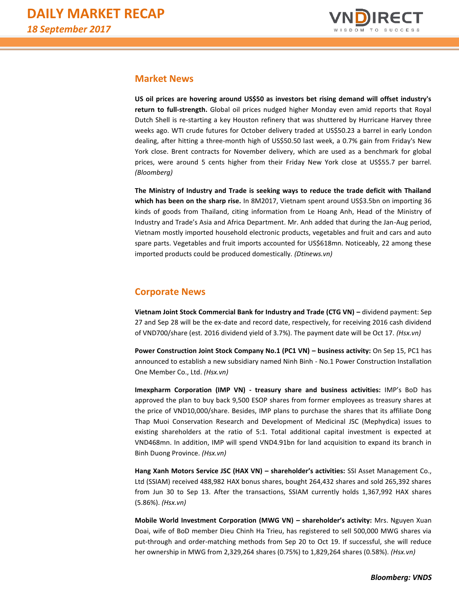![](_page_1_Picture_1.jpeg)

## **Market News**

**US oil prices are hovering around US\$50 as investors bet rising demand will offset industry's return to full-strength.** Global oil prices nudged higher Monday even amid reports that Royal Dutch Shell is re-starting a key Houston refinery that was shuttered by Hurricane Harvey three weeks ago. WTI crude futures for October delivery traded at US\$50.23 a barrel in early London dealing, after hitting a three-month high of US\$50.50 last week, a 0.7% gain from Friday's New York close. Brent contracts for November delivery, which are used as a benchmark for global prices, were around 5 cents higher from their Friday New York close at US\$55.7 per barrel. *(Bloomberg)*

**The Ministry of Industry and Trade is seeking ways to reduce the trade deficit with Thailand which has been on the sharp rise.** In 8M2017, Vietnam spent around US\$3.5bn on importing 36 kinds of goods from Thailand, citing information from Le Hoang Anh, Head of the Ministry of Industry and Trade's Asia and Africa Department. Mr. Anh added that during the Jan-Aug period, Vietnam mostly imported household electronic products, vegetables and fruit and cars and auto spare parts. Vegetables and fruit imports accounted for US\$618mn. Noticeably, 22 among these imported products could be produced domestically. *(Dtinews.vn)*

# **Corporate News**

**Vietnam Joint Stock Commercial Bank for Industry and Trade (CTG VN) –** dividend payment: Sep 27 and Sep 28 will be the ex-date and record date, respectively, for receiving 2016 cash dividend of VND700/share (est. 2016 dividend yield of 3.7%). The payment date will be Oct 17. *(Hsx.vn)*

**Power Construction Joint Stock Company No.1 (PC1 VN) – business activity:** On Sep 15, PC1 has announced to establish a new subsidiary named Ninh Binh - No.1 Power Construction Installation One Member Co., Ltd. *(Hsx.vn)*

**Imexpharm Corporation (IMP VN) - treasury share and business activities:** IMP's BoD has approved the plan to buy back 9,500 ESOP shares from former employees as treasury shares at the price of VND10,000/share. Besides, IMP plans to purchase the shares that its affiliate Dong Thap Muoi Conservation Research and Development of Medicinal JSC (Mephydica) issues to existing shareholders at the ratio of 5:1. Total additional capital investment is expected at VND468mn. In addition, IMP will spend VND4.91bn for land acquisition to expand its branch in Binh Duong Province. *(Hsx.vn)*

**Hang Xanh Motors Service JSC (HAX VN) – shareholder's activities:** SSI Asset Management Co., Ltd (SSIAM) received 488,982 HAX bonus shares, bought 264,432 shares and sold 265,392 shares from Jun 30 to Sep 13. After the transactions, SSIAM currently holds 1,367,992 HAX shares (5.86%). *(Hsx.vn)*

**Mobile World Investment Corporation (MWG VN) – shareholder's activity:** Mrs. Nguyen Xuan Doai, wife of BoD member Dieu Chinh Ha Trieu, has registered to sell 500,000 MWG shares via put-through and order-matching methods from Sep 20 to Oct 19. If successful, she will reduce her ownership in MWG from 2,329,264 shares (0.75%) to 1,829,264 shares (0.58%). *(Hsx.vn)*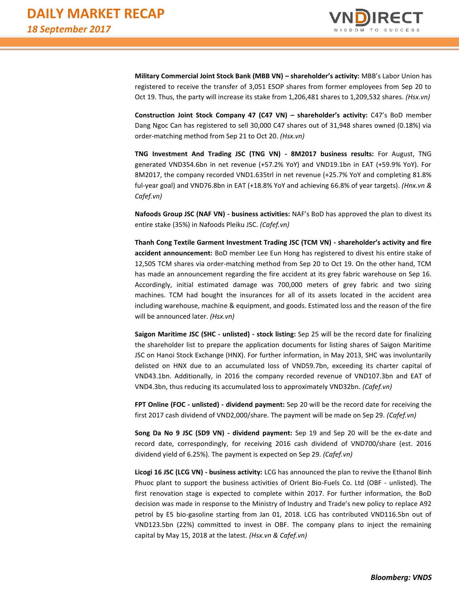![](_page_2_Picture_1.jpeg)

**Military Commercial Joint Stock Bank (MBB VN) – shareholder's activity:** MBB's Labor Union has registered to receive the transfer of 3,051 ESOP shares from former employees from Sep 20 to Oct 19. Thus, the party will increase its stake from 1,206,481 shares to 1,209,532 shares. *(Hsx.vn)*

**Construction Joint Stock Company 47 (C47 VN) – shareholder's activity:** C47's BoD member Dang Ngoc Can has registered to sell 30,000 C47 shares out of 31,948 shares owned (0.18%) via order-matching method from Sep 21 to Oct 20. *(Hsx.vn)*

**TNG Investment And Trading JSC (TNG VN) - 8M2017 business results:** For August, TNG generated VND354.6bn in net revenue (+57.2% YoY) and VND19.1bn in EAT (+59.9% YoY). For 8M2017, the company recorded VND1.635trl in net revenue (+25.7% YoY and completing 81.8% ful-year goal) and VND76.8bn in EAT (+18.8% YoY and achieving 66.8% of year targets). *(Hnx.vn & Cafef.vn)*

**Nafoods Group JSC (NAF VN) - business activities:** NAF's BoD has approved the plan to divest its entire stake (35%) in Nafoods Pleiku JSC. *(Cafef.vn)* 

**Thanh Cong Textile Garment Investment Trading JSC (TCM VN) - shareholder's activity and fire accident announcement:** BoD member Lee Eun Hong has registered to divest his entire stake of 12,505 TCM shares via order-matching method from Sep 20 to Oct 19. On the other hand, TCM has made an announcement regarding the fire accident at its grey fabric warehouse on Sep 16. Accordingly, initial estimated damage was 700,000 meters of grey fabric and two sizing machines. TCM had bought the insurances for all of its assets located in the accident area including warehouse, machine & equipment, and goods. Estimated loss and the reason of the fire will be announced later. *(Hsx.vn)*

**Saigon Maritime JSC (SHC - unlisted) - stock listing:** Sep 25 will be the record date for finalizing the shareholder list to prepare the application documents for listing shares of Saigon Maritime JSC on Hanoi Stock Exchange (HNX). For further information, in May 2013, SHC was involuntarily delisted on HNX due to an accumulated loss of VND59.7bn, exceeding its charter capital of VND43.1bn. Additionally, in 2016 the company recorded revenue of VND107.3bn and EAT of VND4.3bn, thus reducing its accumulated loss to approximately VND32bn. *(Cafef.vn)*

**FPT Online (FOC - unlisted) - dividend payment:** Sep 20 will be the record date for receiving the first 2017 cash dividend of VND2,000/share. The payment will be made on Sep 29. *(Cafef.vn)*

**Song Da No 9 JSC (SD9 VN) - dividend payment:** Sep 19 and Sep 20 will be the ex-date and record date, correspondingly, for receiving 2016 cash dividend of VND700/share (est. 2016 dividend yield of 6.25%). The payment is expected on Sep 29. *(Cafef.vn)*

**Licogi 16 JSC (LCG VN) - business activity:** LCG has announced the plan to revive the Ethanol Binh Phuoc plant to support the business activities of Orient Bio-Fuels Co. Ltd (OBF - unlisted). The first renovation stage is expected to complete within 2017. For further information, the BoD decision was made in response to the Ministry of Industry and Trade's new policy to replace A92 petrol by E5 bio-gasoline starting from Jan 01, 2018. LCG has contributed VND116.5bn out of VND123.5bn (22%) committed to invest in OBF. The company plans to inject the remaining capital by May 15, 2018 at the latest. *(Hsx.vn & Cafef.vn)*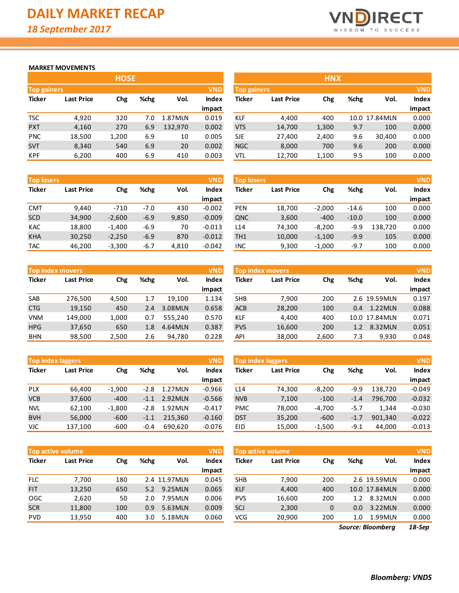![](_page_3_Picture_1.jpeg)

#### **MARKET MOVEMENTS**

|               |                    | <b>HOSE</b> |      |         |        |  |  |  |  |  |  |  |
|---------------|--------------------|-------------|------|---------|--------|--|--|--|--|--|--|--|
|               | <b>Top gainers</b> |             |      |         |        |  |  |  |  |  |  |  |
| <b>Ticker</b> | <b>Last Price</b>  | Chg         | %chg | Vol.    | Index  |  |  |  |  |  |  |  |
|               |                    |             |      |         | impact |  |  |  |  |  |  |  |
| TSC           | 4,920              | 320         | 7.0  | 1.87MLN | 0.019  |  |  |  |  |  |  |  |
| <b>PXT</b>    | 4,160              | 270         | 6.9  | 132,970 | 0.002  |  |  |  |  |  |  |  |
| <b>PNC</b>    | 18,500             | 1,200       | 6.9  | 10      | 0.005  |  |  |  |  |  |  |  |
| <b>SVT</b>    | 8,340              | 540         | 6.9  | 20      | 0.002  |  |  |  |  |  |  |  |
| <b>KPF</b>    | 6,200              | 400         | 6.9  | 410     | 0.003  |  |  |  |  |  |  |  |

| <b>Top losers</b> |                   |          |        |       | <b>VND</b> | <b>Top losers</b> |                   |          |         |         | <b>VND</b> |
|-------------------|-------------------|----------|--------|-------|------------|-------------------|-------------------|----------|---------|---------|------------|
| <b>Ticker</b>     | <b>Last Price</b> | Chg      | %chg   | Vol.  | Index      | Ticker            | <b>Last Price</b> | Chg      | %chg    | Vol.    | Index      |
|                   |                   |          |        |       | impact     |                   |                   |          |         |         | impact     |
| <b>CMT</b>        | 9.440             | $-710$   | $-7.0$ | 430   | $-0.002$   | <b>PEN</b>        | 18.700            | $-2.000$ | $-14.6$ | 100     | 0.000      |
| <b>SCD</b>        | 34,900            | $-2,600$ | $-6.9$ | 9,850 | $-0.009$   | QNC               | 3,600             | $-400$   | $-10.0$ | 100     | 0.000      |
| <b>KAC</b>        | 18,800            | $-1,400$ | $-6.9$ | 70    | $-0.013$   | L <sub>14</sub>   | 74,300            | $-8,200$ | $-9.9$  | 138.720 | 0.000      |
| <b>KHA</b>        | 30,250            | $-2,250$ | $-6.9$ | 870   | $-0.012$   | TH <sub>1</sub>   | 10,000            | $-1,100$ | $-9.9$  | 105     | 0.000      |
| <b>TAC</b>        | 46,200            | $-3,300$ | $-6.7$ | 4,810 | $-0.042$   | <b>INC</b>        | 9,300             | $-1,000$ | $-9.7$  | 100     | 0.000      |

|               | <b>Top index movers</b> |       |      |         | <b>VND</b> |
|---------------|-------------------------|-------|------|---------|------------|
| <b>Ticker</b> | <b>Last Price</b>       | Chg   | %chg | Vol.    | Index      |
|               |                         |       |      |         | impact     |
| <b>SAB</b>    | 276,500                 | 4,500 | 1.7  | 19,100  | 1.134      |
| <b>CTG</b>    | 19,150                  | 450   | 2.4  | 3.08MLN | 0.658      |
| VNM           | 149,000                 | 1,000 | 0.7  | 555,240 | 0.570      |
| <b>HPG</b>    | 37,650                  | 650   | 1.8  | 4.64MLN | 0.387      |
| BHN           | 98,500                  | 2,500 | 2.6  | 94,780  | 0.228      |

| <b>Top index laggers</b> |                   |          |        |         | <b>VND</b> |
|--------------------------|-------------------|----------|--------|---------|------------|
| <b>Ticker</b>            | <b>Last Price</b> | Chg      | %chg   | Vol.    | Index      |
|                          |                   |          |        |         | impact     |
| <b>PLX</b>               | 66,400            | $-1,900$ | $-2.8$ | 1.27MLN | $-0.966$   |
| <b>VCB</b>               | 37,600            | $-400$   | $-1.1$ | 2.92MLN | $-0.566$   |
| <b>NVL</b>               | 62,100            | $-1,800$ | $-2.8$ | 1.92MLN | $-0.417$   |
| <b>BVH</b>               | 56,000            | $-600$   | $-1.1$ | 215,360 | $-0.160$   |
| VJC                      | 137,100           | $-600$   | $-0.4$ | 690.620 | $-0.076$   |

|               | <b>Top active volume</b> |     |      |              | <b>VND</b>   |
|---------------|--------------------------|-----|------|--------------|--------------|
| <b>Ticker</b> | <b>Last Price</b>        | Chg | %chg | Vol.         | <b>Index</b> |
|               |                          |     |      |              | impact       |
| <b>FLC</b>    | 7,700                    | 180 |      | 2.4 11.97MLN | 0.045        |
| <b>FIT</b>    | 13,250                   | 650 | 5.2  | 9.25MLN      | 0.065        |
| <b>OGC</b>    | 2,620                    | 50  | 2.0  | 7.95 MLN     | 0.006        |
| <b>SCR</b>    | 11,800                   | 100 | 0.9  | 5.63MLN      | 0.009        |
| <b>PVD</b>    | 13,950                   | 400 | 3.0  | 5.18MLN      | 0.060        |

|                    |                   | <b>HOSE</b> |      |         |            |                    |                   | <b>HNX</b> |      |                |            |
|--------------------|-------------------|-------------|------|---------|------------|--------------------|-------------------|------------|------|----------------|------------|
| <b>Top gainers</b> |                   |             |      |         | <b>VND</b> | <b>Top gainers</b> |                   |            |      |                | <b>VND</b> |
| Ticker             | <b>Last Price</b> | Chg         | %chg | Vol.    | Index      | Ticker             | <b>Last Price</b> | Chg        | %chg | Vol.           | Index      |
|                    |                   |             |      |         | impact     |                    |                   |            |      |                | impact     |
| TSC                | 4,920             | 320         | 7.0  | 1.87MLN | 0.019      | <b>KLF</b>         | 4,400             | 400        |      | 10.0 17.84 MLN | 0.000      |
| <b>PXT</b>         | 4,160             | 270         | 6.9  | 132,970 | 0.002      | <b>VTS</b>         | 14,700            | 1,300      | 9.7  | 100            | 0.000      |
| <b>PNC</b>         | 18,500            | 1,200       | 6.9  | 10      | 0.005      | <b>SJE</b>         | 27,400            | 2,400      | 9.6  | 30,400         | 0.000      |
| <b>SVT</b>         | 8,340             | 540         | 6.9  | 20      | 0.002      | <b>NGC</b>         | 8,000             | 700        | 9.6  | 200            | 0.000      |
| KPF                | 6,200             | 400         | 6.9  | 410     | 0.003      | <b>VTL</b>         | 12,700            | 1,100      | 9.5  | 100            | 0.000      |

| <b>Top losers</b> |                   |          |        |       | <b>VND</b> | <b>Top losers</b> |                   |          |         |         | VND,<br>Index<br>Vol. |  |  |  |  |
|-------------------|-------------------|----------|--------|-------|------------|-------------------|-------------------|----------|---------|---------|-----------------------|--|--|--|--|
| Ticker            | <b>Last Price</b> | Chg      | %chg   | Vol.  | Index      | Ticker            | <b>Last Price</b> | Chg      | %chg    |         |                       |  |  |  |  |
|                   |                   |          |        |       | impact     |                   |                   |          |         |         | impact                |  |  |  |  |
| CMT               | 9.440             | $-710$   | $-7.0$ | 430   | $-0.002$   | <b>PEN</b>        | 18,700            | $-2.000$ | $-14.6$ | 100     | 0.000                 |  |  |  |  |
| SCD               | 34,900            | $-2,600$ | $-6.9$ | 9,850 | $-0.009$   | QNC               | 3,600             | $-400$   | $-10.0$ | 100     | 0.000                 |  |  |  |  |
| <b>KAC</b>        | 18,800            | $-1,400$ | $-6.9$ | 70    | $-0.013$   | L14               | 74,300            | $-8,200$ | $-9.9$  | 138.720 | 0.000                 |  |  |  |  |
| <b>KHA</b>        | 30,250            | $-2,250$ | $-6.9$ | 870   | $-0.012$   | TH <sub>1</sub>   | 10,000            | $-1,100$ | $-9.9$  | 105     | 0.000                 |  |  |  |  |
| TAC               | 46.200            | $-3,300$ | $-6.7$ | 4,810 | $-0.042$   | INC               | 9,300             | $-1.000$ | $-9.7$  | 100     | 0.000                 |  |  |  |  |

|            | <b>Top index movers</b> |       |      |         | <b>VND</b> |            | Top index movers  |       |      |               | <b>VND</b> |
|------------|-------------------------|-------|------|---------|------------|------------|-------------------|-------|------|---------------|------------|
| Ticker     | <b>Last Price</b>       | Chg   | %chg | Vol.    | Index      | Ticker     | <b>Last Price</b> | Chg   | %chg | Vol.          | Index      |
|            |                         |       |      |         | impact     |            |                   |       |      |               | impact     |
| SAB        | 276,500                 | 4,500 | 1.7  | 19.100  | 1.134      | <b>SHB</b> | 7.900             | 200   |      | 2.6 19.59MLN  | 0.197      |
| <b>CTG</b> | 19,150                  | 450   | 2.4  | 3.08MLN | 0.658      | <b>ACB</b> | 28,200            | 100   | 0.4  | 1.22MLN       | 0.088      |
| VNM        | 149,000                 | 1,000 | 0.7  | 555.240 | 0.570      | KLF        | 4,400             | 400   |      | 10.0 17.84MLN | 0.071      |
| <b>HPG</b> | 37,650                  | 650   | 1.8  | 4.64MLN | 0.387      | <b>PVS</b> | 16,600            | 200   | 1.2  | 8.32MLN       | 0.051      |
| <b>BHN</b> | 98,500                  | 2,500 | 2.6  | 94,780  | 0.228      | <b>API</b> | 38,000            | 2,600 | 7.3  | 9,930         | 0.048      |

| <b>Top index laggers</b> |                   |          |        |          | <b>VND</b> | Top index laggers |                   |          |        |         | <b>VND</b> |
|--------------------------|-------------------|----------|--------|----------|------------|-------------------|-------------------|----------|--------|---------|------------|
| Ticker                   | <b>Last Price</b> | Chg      | %chg   | Vol.     | Index      | Ticker            | <b>Last Price</b> | Chg      | %chg   | Vol.    | Index      |
|                          |                   |          |        |          | impact     |                   |                   |          |        |         | impact     |
| PLX                      | 66.400            | $-1,900$ | $-2.8$ | 1.27MLN  | $-0.966$   | L14               | 74,300            | $-8.200$ | $-9.9$ | 138.720 | $-0.049$   |
| <b>VCB</b>               | 37,600            | $-400$   | $-1.1$ | 2.92 MLN | $-0.566$   | <b>NVB</b>        | 7,100             | $-100$   | $-1.4$ | 796.700 | $-0.032$   |
| <b>NVL</b>               | 62.100            | $-1,800$ | $-2.8$ | 1.92MLN  | $-0.417$   | <b>PMC</b>        | 78,000            | -4,700   | -5.7   | 1.344   | $-0.030$   |
| <b>BVH</b>               | 56,000            | $-600$   | $-1.1$ | 215.360  | $-0.160$   | <b>DST</b>        | 35,200            | $-600$   | $-1.7$ | 901,340 | $-0.022$   |
| VJC                      | 137,100           | $-600$   | $-0.4$ | 690,620  | $-0.076$   | EID               | 15,000            | $-1,500$ | $-9.1$ | 44.000  | $-0.013$   |

|            | <b>Top active volume</b> |     |               |              | <b>VND</b> | <b>VND</b><br>Top active volume |                   |     |               |                |        |  |
|------------|--------------------------|-----|---------------|--------------|------------|---------------------------------|-------------------|-----|---------------|----------------|--------|--|
| Ticker     | <b>Last Price</b><br>Chg |     | %chg          | Vol.         | Index      | Ticker                          | <b>Last Price</b> | Chg | %chg          |                | Index  |  |
|            |                          |     |               |              | impact     |                                 |                   |     |               |                | impact |  |
| FLC        | 7.700                    | 180 |               | 2.4 11.97MLN | 0.045      | <b>SHB</b>                      | 7,900             | 200 |               | 2.6 19.59MLN   | 0.000  |  |
| FIT.       | 13,250                   | 650 | 5.2           | 9.25MLN      | 0.065      | <b>KLF</b>                      | 4,400             | 400 |               | 10.0 17.84 MLN | 0.000  |  |
| OGC        | 2,620                    | 50  | $2.0^{\circ}$ | 7.95 MLN     | 0.006      | <b>PVS</b>                      | 16,600            | 200 | 1.2           | 8.32MLN        | 0.000  |  |
| <b>SCR</b> | 11,800                   | 100 | 0.9           | 5.63MLN      | 0.009      | SCJ                             | 2,300             | 0   | $0.0^{\circ}$ | 3.22MLN        | 0.000  |  |
| <b>PVD</b> | 13,950                   | 400 | 3.0           | 5.18MLN      | 0.060      | VCG                             | 20,900            | 200 | 1.0           | 1.99MLN        | 0.000  |  |
|            |                          |     |               |              |            |                                 |                   |     |               |                |        |  |

*18-Sep Source: Bloomberg*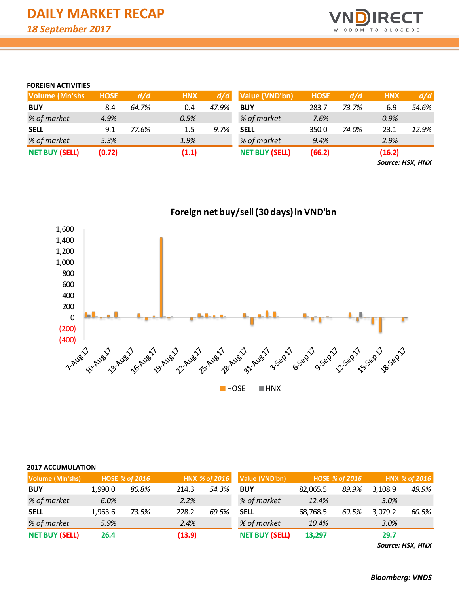![](_page_4_Picture_1.jpeg)

### **FOREIGN ACTIVITIES**

| <b>Volume (Mn'shs)</b> | <b>HOSE</b> | d/d      | <b>HNX</b> | d/d     | Value (VND'bn)        | <b>HOSE</b> | d/d    | <b>HNX</b> | d/d      |
|------------------------|-------------|----------|------------|---------|-----------------------|-------------|--------|------------|----------|
| <b>BUY</b>             | 8.4         | $-64.7%$ | 0.4        | -47.9%  | <b>BUY</b>            | 283.7       | -73.7% | 6.9        | -54.6%   |
| % of market            | 4.9%        |          | 0.5%       |         | % of market           | 7.6%        |        | 0.9%       |          |
| <b>SELL</b>            | 9.1         | -77.6%   | $1.5\,$    | $-9.7%$ | <b>SELL</b>           | 350.0       | -74.0% | 23.1       | $-12.9%$ |
| % of market            | 5.3%        |          | 1.9%       |         | % of market           | 9.4%        |        | 2.9%       |          |
| <b>NET BUY (SELL)</b>  | (0.72)      |          | (1.1)      |         | <b>NET BUY (SELL)</b> | (66.2)      |        | (16.2)     |          |

*Source: HSX, HNX*

![](_page_4_Figure_5.jpeg)

| Volume (Mln'shs)      |         | <b>HOSE % of 2016</b> |        | HNX % of 2016 | Value (VND'bn)        |          | <b>HOSE % of 2016</b> | HNX % of 2016 |       |  |
|-----------------------|---------|-----------------------|--------|---------------|-----------------------|----------|-----------------------|---------------|-------|--|
| <b>BUY</b>            | 1.990.0 | 80.8%                 | 214.3  | 54.3%         | <b>BUY</b>            | 82,065.5 | 89.9%                 | 3.108.9       | 49.9% |  |
| % of market           | 6.0%    |                       | 2.2%   |               | % of market           | 12.4%    |                       | 3.0%          |       |  |
| <b>SELL</b>           | 1.963.6 | 73.5%                 | 228.2  | 69.5%         | <b>SELL</b>           | 68,768.5 | 69.5%                 | 3,079.2       | 60.5% |  |
| % of market           | 5.9%    |                       | 2.4%   |               | % of market           | 10.4%    |                       | 3.0%          |       |  |
| <b>NET BUY (SELL)</b> | 26.4    |                       | (13.9) |               | <b>NET BUY (SELL)</b> | 13.297   |                       | 29.7          |       |  |

*Source: HSX, HNX*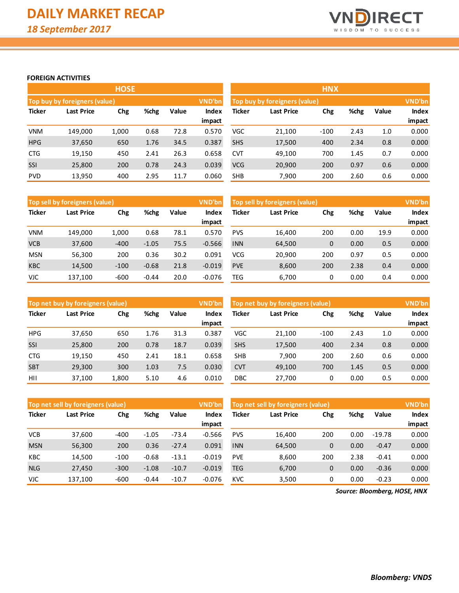![](_page_5_Picture_1.jpeg)

### **FOREIGN ACTIVITIES**

|               |                               | <b>HOSE</b> |       |       |        | <b>HNX</b>                       |        |        |      |              |        |  |
|---------------|-------------------------------|-------------|-------|-------|--------|----------------------------------|--------|--------|------|--------------|--------|--|
|               | Top buy by foreigners (value) |             |       |       | VND'bn | Top buy by foreigners (value)    | VND'bn |        |      |              |        |  |
| <b>Ticker</b> | %chg<br>Last Price<br>Chg     |             | Value | Index | Ticker | %chg<br><b>Last Price</b><br>Chg |        |        |      | <b>Index</b> |        |  |
|               |                               |             |       |       | impact |                                  |        |        |      |              | impact |  |
| <b>VNM</b>    | 149,000                       | 1,000       | 0.68  | 72.8  | 0.570  | VGC                              | 21,100 | $-100$ | 2.43 | 1.0          | 0.000  |  |
| <b>HPG</b>    | 37,650                        | 650         | 1.76  | 34.5  | 0.387  | <b>SHS</b>                       | 17,500 | 400    | 2.34 | 0.8          | 0.000  |  |
| <b>CTG</b>    | 19,150                        | 450         | 2.41  | 26.3  | 0.658  | <b>CVT</b>                       | 49,100 | 700    | 1.45 | 0.7          | 0.000  |  |
| <b>SSI</b>    | 25,800                        | 200         | 0.78  | 24.3  | 0.039  | <b>VCG</b>                       | 20,900 | 200    | 0.97 | 0.6          | 0.000  |  |
| <b>PVD</b>    | 13,950                        | 400         | 2.95  | 11.7  | 0.060  | <b>SHB</b>                       | 7,900  | 200    | 2.60 | 0.6          | 0.000  |  |

|               | Top sell by foreigners (value)   |        |         |       | VND'bn   | Top sell by foreigners (value) |        |      |       |              |        |
|---------------|----------------------------------|--------|---------|-------|----------|--------------------------------|--------|------|-------|--------------|--------|
| <b>Ticker</b> | %chg<br><b>Last Price</b><br>Chg |        | Value   | Index | Ticker   | <b>Last Price</b>              | Chg    | %chg | Value | <b>Index</b> |        |
|               |                                  |        |         |       | impact   |                                |        |      |       |              | impact |
| <b>VNM</b>    | 149.000                          | 1.000  | 0.68    | 78.1  | 0.570    | <b>PVS</b>                     | 16.400 | 200  | 0.00  | 19.9         | 0.000  |
| <b>VCB</b>    | 37,600                           | $-400$ | $-1.05$ | 75.5  | $-0.566$ | <b>INN</b>                     | 64,500 | 0    | 0.00  | 0.5          | 0.000  |
| <b>MSN</b>    | 56,300                           | 200    | 0.36    | 30.2  | 0.091    | VCG                            | 20,900 | 200  | 0.97  | 0.5          | 0.000  |
| <b>KBC</b>    | 14,500                           | $-100$ | $-0.68$ | 21.8  | $-0.019$ | <b>PVE</b>                     | 8,600  | 200  | 2.38  | 0.4          | 0.000  |
| <b>VJC</b>    | 137,100                          | $-600$ | $-0.44$ | 20.0  | $-0.076$ | TEG                            | 6,700  | 0    | 0.00  | 0.4          | 0.000  |

|               | Top net buy by foreigners (value) |       |      |       | <b>VND'bn</b> | Top net buy by foreigners (value) |                          |        |      |       |        |
|---------------|-----------------------------------|-------|------|-------|---------------|-----------------------------------|--------------------------|--------|------|-------|--------|
| <b>Ticker</b> | Last Price<br>Chg                 |       | %chg | Value | Index         | Ticker                            | Chg<br><b>Last Price</b> |        | %chg | Value | Index  |
|               |                                   |       |      |       | impact        |                                   |                          |        |      |       | impact |
| <b>HPG</b>    | 37,650                            | 650   | 1.76 | 31.3  | 0.387         | VGC                               | 21,100                   | $-100$ | 2.43 | 1.0   | 0.000  |
| SSI           | 25,800                            | 200   | 0.78 | 18.7  | 0.039         | <b>SHS</b>                        | 17,500                   | 400    | 2.34 | 0.8   | 0.000  |
| <b>CTG</b>    | 19,150                            | 450   | 2.41 | 18.1  | 0.658         | <b>SHB</b>                        | 7.900                    | 200    | 2.60 | 0.6   | 0.000  |
| <b>SBT</b>    | 29,300                            | 300   | 1.03 | 7.5   | 0.030         | <b>CVT</b>                        | 49,100                   | 700    | 1.45 | 0.5   | 0.000  |
| HII           | 37.100                            | 1.800 | 5.10 | 4.6   | 0.010         | DBC                               | 27.700                   | 0      | 0.00 | 0.5   | 0.000  |

|               | Top net sell by foreigners (value) |        |         |         | VND'bn   | Top net sell by foreigners (value) | <b>VND'bn</b> |             |       |              |        |
|---------------|------------------------------------|--------|---------|---------|----------|------------------------------------|---------------|-------------|-------|--------------|--------|
| <b>Ticker</b> | %chg<br>Last Price<br>Chg          |        | Value   | Index   | Ticker   | Last Price                         | Chg           | %chg        | Value | <b>Index</b> |        |
|               |                                    |        |         |         | impact   |                                    |               |             |       |              | impact |
| <b>VCB</b>    | 37.600                             | $-400$ | $-1.05$ | $-73.4$ | $-0.566$ | <b>PVS</b>                         | 16.400        | 200         | 0.00  | $-19.78$     | 0.000  |
| <b>MSN</b>    | 56,300                             | 200    | 0.36    | $-27.4$ | 0.091    | <b>INN</b>                         | 64,500        | $\mathbf 0$ | 0.00  | $-0.47$      | 0.000  |
| KBC           | 14.500                             | $-100$ | $-0.68$ | $-13.1$ | $-0.019$ | <b>PVE</b>                         | 8.600         | 200         | 2.38  | $-0.41$      | 0.000  |
| <b>NLG</b>    | 27,450                             | $-300$ | $-1.08$ | $-10.7$ | $-0.019$ | <b>TEG</b>                         | 6,700         | $\mathbf 0$ | 0.00  | $-0.36$      | 0.000  |
| <b>VJC</b>    | 137,100                            | $-600$ | $-0.44$ | $-10.7$ | $-0.076$ | <b>KVC</b>                         | 3,500         | 0           | 0.00  | $-0.23$      | 0.000  |

*Source: Bloomberg, HOSE, HNX*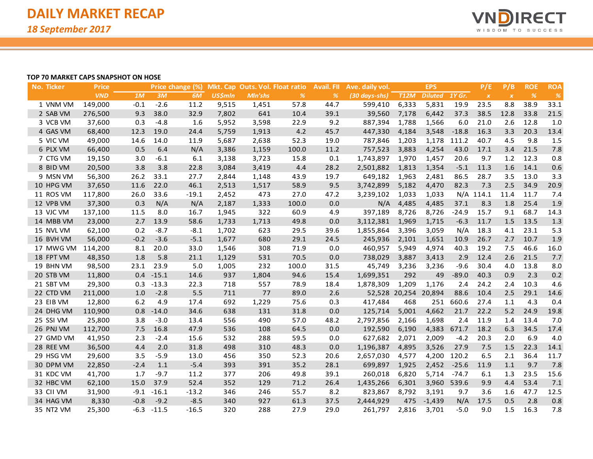![](_page_6_Picture_1.jpeg)

#### **TOP 70 MARKET CAPS SNAPSHOT ON HOSE**

| <b>No. Ticker</b> | <b>Price</b> |        |         | Price change (%) |                |         | Mkt. Cap Outs. Vol. Float ratio | <b>Avail. FII</b> | Ave. daily vol. |                      | <b>EPS</b>     |         | P/E              | P/B                       | <b>ROE</b> | <b>ROA</b>    |
|-------------------|--------------|--------|---------|------------------|----------------|---------|---------------------------------|-------------------|-----------------|----------------------|----------------|---------|------------------|---------------------------|------------|---------------|
|                   | <b>VND</b>   | 1M     | 3M      | 6M               | <b>US\$mln</b> | Mln'shs | $\%$                            | $\frac{9}{6}$     | (30 days-shs)   | <b>T12M</b>          | <b>Diluted</b> | 1Y Gr.  | $\boldsymbol{X}$ | $\boldsymbol{\mathsf{X}}$ | $\%$       | $\frac{9}{6}$ |
| 1 VNM VM          | 149,000      | $-0.1$ | $-2.6$  | 11.2             | 9,515          | 1,451   | 57.8                            | 44.7              | 599,410         | 6,333                | 5,831          | 19.9    | 23.5             | 8.8                       | 38.9       | 33.1          |
| 2 SAB VM          | 276,500      | 9.3    | 38.0    | 32.9             | 7,802          | 641     | 10.4                            | 39.1              | 39,560          | 7,178                | 6,442          | 37.3    | 38.5             | 12.8                      | 33.8       | 21.5          |
| 3 VCB VM          | 37,600       | 0.3    | $-4.8$  | 1.6              | 5,952          | 3,598   | 22.9                            | 9.2               | 887,394         | 1,788                | 1,566          | 6.0     | 21.0             | 2.6                       | 12.8       | 1.0           |
| 4 GAS VM          | 68,400       | 12.3   | 19.0    | 24.4             | 5,759          | 1,913   | 4.2                             | 45.7              | 447,330         | 4,184                | 3,548          | $-18.8$ | 16.3             | 3.3                       | 20.3       | 13.4          |
| 5 VIC VM          | 49,000       | 14.6   | 14.0    | 11.9             | 5,687          | 2,638   | 52.3                            | 19.0              | 787,846         | 1,203                | 1,178          | 111.2   | 40.7             | 4.5                       | 9.8        | 1.5           |
| 6 PLX VM          | 66,400       | 0.5    | 6.4     | N/A              | 3,386          | 1,159   | 100.0                           | 11.2              | 757,523         | 3,883                | 4,254          | 43.0    | 17.1             | 3.4                       | 21.5       | 7.8           |
| 7 CTG VM          | 19,150       | 3.0    | $-6.1$  | 6.1              | 3,138          | 3,723   | 15.8                            | 0.1               | 1,743,897       | 1,970                | 1,457          | 20.6    | 9.7              | 1.2                       | 12.3       | 0.8           |
| 8 BID VM          | 20,500       | 3.8    | 3.8     | 22.8             | 3,084          | 3,419   | 4.4                             | 28.2              | 2,501,882       | 1,813                | 1,354          | $-5.1$  | 11.3             | 1.6                       | 14.1       | 0.6           |
| 9 MSN VM          | 56,300       | 26.2   | 33.1    | 27.7             | 2,844          | 1,148   | 43.9                            | 19.7              | 649,182         | 1,963                | 2,481          | 86.5    | 28.7             | 3.5                       | 13.0       | 3.3           |
| 10 HPG VM         | 37,650       | 11.6   | 22.0    | 46.1             | 2,513          | 1,517   | 58.9                            | 9.5               | 3,742,899       | 5,182                | 4,470          | 82.3    | 7.3              | 2.5                       | 34.9       | 20.9          |
| 11 ROS VM         | 117,800      | 26.0   | 33.6    | $-19.1$          | 2,452          | 473     | 27.0                            | 47.2              | 3,239,102       | 1,033                | 1,033          |         | N/A 114.1        | 11.4                      | 11.7       | 7.4           |
| 12 VPB VM         | 37,300       | 0.3    | N/A     | N/A              | 2,187          | 1,333   | 100.0                           | 0.0               | N/A             | 4,485                | 4,485          | 37.1    | 8.3              | 1.8                       | 25.4       | 1.9           |
| 13 VJC VM         | 137,100      | 11.5   | 8.0     | 16.7             | 1,945          | 322     | 60.9                            | 4.9               | 397,189         | 8,726                | 8,726          | $-24.9$ | 15.7             | 9.1                       | 68.7       | 14.3          |
| 14 MBB VM         | 23,000       | 2.7    | 13.9    | 58.6             | 1,733          | 1,713   | 49.8                            | 0.0               | 3,112,381       | 1,969                | 1,715          | $-6.3$  | 11.7             | 1.5                       | 13.5       | 1.3           |
| 15 NVL VM         | 62,100       | 0.2    | $-8.7$  | $-8.1$           | 1,702          | 623     | 29.5                            | 39.6              | 1,855,864       | 3,396                | 3,059          | N/A     | 18.3             | 4.1                       | 23.1       | 5.3           |
| 16 BVH VM         | 56,000       | $-0.2$ | $-3.6$  | $-5.1$           | 1,677          | 680     | 29.1                            | 24.5              | 245,936         | 2,101                | 1,651          | 10.9    | 26.7             | 2.7                       | 10.7       | 1.9           |
| 17 MWG VM         | 114,200      | 8.1    | 20.0    | 33.0             | 1,546          | 308     | 71.9                            | 0.0               | 460,957         | 5,949                | 4,974          | 40.3    | 19.2             | 7.5                       | 46.6       | 16.0          |
| 18 FPT VM         | 48,350       | 1.8    | 5.8     | 21.1             | 1,129          | 531     | 70.5                            | 0.0               | 738,029         | 3,887                | 3,413          | 2.9     | 12.4             | 2.6                       | 21.5       | 7.7           |
| 19 BHN VM         | 98,500       | 23.1   | 23.9    | 5.0              | 1,005          | 232     | 100.0                           | 31.5              | 45,749          | 3,236                | 3,236          | $-9.6$  | 30.4             | 4.0                       | 13.8       | 8.0           |
| 20 STB VM         | 11,800       | 0.4    | $-15.1$ | 14.6             | 937            | 1,804   | 94.6                            | 15.4              | 1,699,351       | 292                  | 49             | $-89.0$ | 40.3             | 0.9                       | 2.3        | 0.2           |
| 21 SBT VM         | 29,300       | 0.3    | $-13.3$ | 22.3             | 718            | 557     | 78.9                            | 18.4              | 1,878,309       | 1,209                | 1,176          | 2.4     | 24.2             | 2.4                       | 10.3       | 4.6           |
| 22 CTD VM         | 211,000      | 1.0    | $-2.8$  | 5.5              | 711            | 77      | 89.0                            | 2.6               |                 | 52,528 20,254 20,894 |                | 88.6    | 10.4             | 2.5                       | 29.1       | 14.6          |
| 23 EIB VM         | 12,800       | 6.2    | 4.9     | 17.4             | 692            | 1,229   | 75.6                            | 0.3               | 417,484         | 468                  | 251            | 660.6   | 27.4             | 1.1                       | 4.3        | 0.4           |
| 24 DHG VM         | 110,900      | 0.8    | $-14.0$ | 34.6             | 638            | 131     | 31.8                            | 0.0               | 125,714         | 5,001                | 4,662          | 21.7    | 22.2             | 5.2                       | 24.9       | 19.8          |
| 25 SSI VM         | 25,800       | 3.8    | $-3.0$  | 13.4             | 556            | 490     | 57.0                            | 48.2              | 2,797,856       | 2,166                | 1,698          | 2.4     | 11.9             | 1.4                       | 13.4       | 7.0           |
| 26 PNJ VM         | 112,700      | 7.5    | 16.8    | 47.9             | 536            | 108     | 64.5                            | 0.0               | 192,590         | 6,190                | 4,383          | 671.7   | 18.2             | 6.3                       | 34.5       | 17.4          |
| 27 GMD VM         | 41,950       | 2.3    | $-2.4$  | 15.6             | 532            | 288     | 59.5                            | 0.0               | 627,682         | 2,071                | 2,009          | $-4.2$  | 20.3             | 2.0                       | 6.9        | 4.0           |
| 28 REE VM         | 36,500       | 4.4    | 2.0     | 31.8             | 498            | 310     | 48.3                            | 0.0               | 1,196,387       | 4,895                | 3,526          | 27.9    | 7.5              | 1.5                       | 22.3       | 14.1          |
| 29 HSG VM         | 29,600       | 3.5    | $-5.9$  | 13.0             | 456            | 350     | 52.3                            | 20.6              | 2,657,030       | 4,577                | 4,200          | 120.2   | 6.5              | 2.1                       | 36.4       | 11.7          |
| 30 DPM VM         | 22,850       | $-2.4$ | 1.1     | $-5.4$           | 393            | 391     | 35.2                            | 28.1              | 699,897         | 1,925                | 2,452          | $-25.6$ | 11.9             | 1.1                       | 9.7        | 7.8           |
| 31 KDC VM         | 41,700       | 1.7    | $-9.7$  | 11.2             | 377            | 206     | 49.8                            | 39.1              | 260,018         | 6,820                | 5,714          | $-74.7$ | 6.1              | 1.3                       | 23.5       | 15.6          |
| 32 HBC VM         | 62,100       | 15.0   | 37.9    | 52.4             | 352            | 129     | 71.2                            | 26.4              | 1,435,266       | 6,301                | 3,960          | 539.6   | 9.9              | 4.4                       | 53.4       | 7.1           |
| 33 CII VM         | 31,900       | $-9.1$ | $-16.1$ | $-13.2$          | 346            | 246     | 55.7                            | 8.2               | 823,867         | 8,792                | 3,191          | 9.7     | 3.6              | 1.6                       | 47.7       | 12.5          |
| 34 HAG VM         | 8,330        | $-0.8$ | $-9.2$  | $-8.5$           | 340            | 927     | 61.3                            | 37.5              | 2,444,929       | 475                  | $-1,439$       | N/A     | 17.5             | 0.5                       | 2.8        | 0.8           |
| 35 NT2 VM         | 25,300       | $-6.3$ | $-11.5$ | $-16.5$          | 320            | 288     | 27.9                            | 29.0              | 261,797         | 2,816                | 3,701          | $-5.0$  | 9.0              | 1.5                       | 16.3       | 7.8           |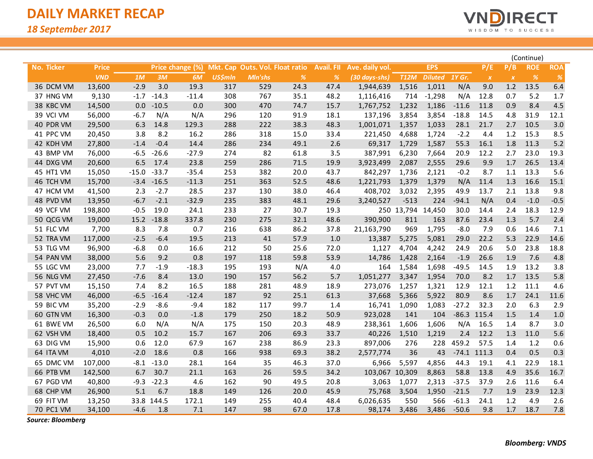![](_page_7_Picture_1.jpeg)

|            |              |         |            |                  |                |                                 |                                                                    |                   |                 |             |                |         |                  |                           | (Continue)    |            |
|------------|--------------|---------|------------|------------------|----------------|---------------------------------|--------------------------------------------------------------------|-------------------|-----------------|-------------|----------------|---------|------------------|---------------------------|---------------|------------|
| No. Ticker | <b>Price</b> |         |            | Price change (%) |                | Mkt. Cap Outs. Vol. Float ratio |                                                                    | <b>Avail. FII</b> | Ave. daily vol. |             | <b>EPS</b>     |         | P/E              | P/B                       | <b>ROE</b>    | <b>ROA</b> |
|            | <b>VND</b>   | 1M      | 3M         | 6M               | <b>US\$mln</b> | Mln'shs                         | $% \mathcal{B}_{\mathrm{c}}\left( \mathcal{B}_{\mathrm{c}}\right)$ | %                 | (30 days-shs)   | <b>T12M</b> | <b>Diluted</b> | 1Y Gr.  | $\boldsymbol{x}$ | $\boldsymbol{\mathsf{x}}$ | $\frac{9}{6}$ | $\%$       |
| 36 DCM VM  | 13,600       | $-2.9$  | 3.0        | 19.3             | 317            | 529                             | 24.3                                                               | 47.4              | 1,944,639       | 1,516       | 1,011          | N/A     | 9.0              | 1.2                       | 13.5          | 6.4        |
| 37 HNG VM  | 9,130        | $-1.7$  | $-14.3$    | $-11.4$          | 308            | 767                             | 35.1                                                               | 48.2              | 1,116,416       | 714         | $-1,298$       | N/A     | 12.8             | 0.7                       | 5.2           | 1.7        |
| 38 KBC VM  | 14,500       | 0.0     | $-10.5$    | 0.0              | 300            | 470                             | 74.7                                                               | 15.7              | 1,767,752       | 1,232       | 1,186          | $-11.6$ | 11.8             | 0.9                       | 8.4           | 4.5        |
| 39 VCI VM  | 56,000       | $-6.7$  | N/A        | N/A              | 296            | 120                             | 91.9                                                               | 18.1              | 137,196         | 3,854       | 3,854          | $-18.8$ | 14.5             | 4.8                       | 31.9          | 12.1       |
| 40 PDR VM  | 29,500       | 6.3     | 14.8       | 129.3            | 288            | 222                             | 38.3                                                               | 48.3              | 1,001,071       | 1,357       | 1,033          | 28.1    | 21.7             | 2.7                       | 10.5          | 3.0        |
| 41 PPC VM  | 20,450       | 3.8     | 8.2        | 16.2             | 286            | 318                             | 15.0                                                               | 33.4              | 221,450         | 4,688       | 1,724          | $-2.2$  | 4.4              | 1.2                       | 15.3          | 8.5        |
| 42 KDH VM  | 27,800       | $-1.4$  | $-0.4$     | 14.4             | 286            | 234                             | 49.1                                                               | 2.6               | 69,317          | 1,729       | 1,587          | 55.3    | 16.1             | 1.8                       | 11.3          | 5.2        |
| 43 BMP VM  | 76,000       | $-6.5$  | $-26.6$    | $-27.9$          | 274            | 82                              | 61.8                                                               | 3.5               | 387,991         | 6,230       | 7,664          | 20.9    | 12.2             | 2.7                       | 23.0          | 19.3       |
| 44 DXG VM  | 20,600       | 6.5     | 17.4       | 23.8             | 259            | 286                             | 71.5                                                               | 19.9              | 3,923,499       | 2,087       | 2,555          | 29.6    | 9.9              | $1.7$                     | 26.5          | 13.4       |
| 45 HT1 VM  | 15,050       | $-15.0$ | $-33.7$    | $-35.4$          | 253            | 382                             | 20.0                                                               | 43.7              | 842,297         | 1,736       | 2,121          | $-0.2$  | 8.7              | 1.1                       | 13.3          | 5.6        |
| 46 TCH VM  | 15,700       | $-3.4$  | $-16.5$    | $-11.3$          | 251            | 363                             | 52.5                                                               | 48.6              | 1,221,793       | 1,379       | 1,379          | N/A     | 11.4             | 1.3                       | 16.6          | 15.1       |
| 47 HCM VM  | 41,500       | 2.3     | $-2.7$     | 28.5             | 237            | 130                             | 38.0                                                               | 46.4              | 408,702         | 3,032       | 2,395          | 49.9    | 13.7             | 2.1                       | 13.8          | 9.8        |
| 48 PVD VM  | 13,950       | $-6.7$  | $-2.1$     | $-32.9$          | 235            | 383                             | 48.1                                                               | 29.6              | 3,240,527       | $-513$      | 224            | $-94.1$ | N/A              | 0.4                       | $-1.0$        | $-0.5$     |
| 49 VCF VM  | 198,800      | $-0.5$  | 19.0       | 24.1             | 233            | 27                              | 30.7                                                               | 19.3              |                 | 250 13,794  | 14,450         | 30.0    | 14.4             | 2.4                       | 18.3          | 12.9       |
| 50 QCG VM  | 19,000       | 15.2    | $-18.8$    | 337.8            | 230            | 275                             | 32.1                                                               | 48.6              | 390,900         | 811         | 163            | 87.6    | 23.4             | 1.3                       | 5.7           | 2.4        |
| 51 FLC VM  | 7,700        | 8.3     | 7.8        | 0.7              | 216            | 638                             | 86.2                                                               | 37.8              | 21,163,790      | 969         | 1,795          | $-8.0$  | 7.9              | 0.6                       | 14.6          | 7.1        |
| 52 TRA VM  | 117,000      | $-2.5$  | $-6.4$     | 19.5             | 213            | 41                              | 57.9                                                               | 1.0               | 13,387          | 5,275       | 5,081          | 29.0    | 22.2             | 5.3                       | 22.9          | 14.6       |
| 53 TLG VM  | 96,900       | $-6.8$  | 0.0        | 16.6             | 212            | 50                              | 25.6                                                               | 72.0              | 1,127           | 4,704       | 4,242          | 24.9    | 20.6             | 5.0                       | 23.8          | 18.8       |
| 54 PAN VM  | 38,000       | 5.6     | 9.2        | 0.8              | 197            | 118                             | 59.8                                                               | 53.9              | 14,786          | 1,428       | 2,164          | $-1.9$  | 26.6             | 1.9                       | 7.6           | 4.8        |
| 55 LGC VM  | 23,000       | 7.7     | $-1.9$     | $-18.3$          | 195            | 193                             | N/A                                                                | 4.0               | 164             | 1,584       | 1,698          | $-49.5$ | 14.5             | 1.9                       | 13.2          | 3.8        |
| 56 NLG VM  | 27,450       | $-7.6$  | 8.4        | 13.0             | 190            | 157                             | 56.2                                                               | 5.7               | 1,051,277       | 3,347       | 1,954          | 70.0    | 8.2              | $1.7$                     | 13.5          | 5.8        |
| 57 PVT VM  | 15,150       | 7.4     | 8.2        | 16.5             | 188            | 281                             | 48.9                                                               | 18.9              | 273,076         | 1,257       | 1,321          | 12.9    | 12.1             | 1.2                       | 11.1          | 4.6        |
| 58 VHC VM  | 46,000       | $-6.5$  | $-16.4$    | $-12.4$          | 187            | 92                              | 25.1                                                               | 61.3              | 37,668          | 5,366       | 5,922          | 80.9    | 8.6              | $1.7$                     | 24.1          | 11.6       |
| 59 BIC VM  | 35,200       | $-2.9$  | $-8.6$     | $-9.4$           | 182            | 117                             | 99.7                                                               | 1.4               | 16,741          | 1,090       | 1,083          | $-27.2$ | 32.3             | 2.0                       | 6.3           | 2.9        |
| 60 GTN VM  | 16,300       | $-0.3$  | 0.0        | $-1.8$           | 179            | 250                             | 18.2                                                               | 50.9              | 923,028         | 141         | 104            |         | $-86.3$ 115.4    | 1.5                       | 1.4           | 1.0        |
| 61 BWE VM  | 26,500       | 6.0     | N/A        | N/A              | 175            | 150                             | 20.3                                                               | 48.9              | 238,361         | 1,606       | 1,606          | N/A     | 16.5             | 1.4                       | 8.7           | 3.0        |
| 62 VSH VM  | 18,400       | 0.5     | 10.2       | 15.7             | 167            | 206                             | 69.3                                                               | 33.7              | 40,226          | 1,510       | 1,219          | $2.4$   | 12.2             | 1.3                       | 11.0          | 5.6        |
| 63 DIG VM  | 15,900       | 0.6     | 12.0       | 67.9             | 167            | 238                             | 86.9                                                               | 23.3              | 897,006         | 276         | 228            | 459.2   | 57.5             | 1.4                       | 1.2           | 0.6        |
| 64 ITA VM  | 4,010        | $-2.0$  | 18.6       | 0.8              | 166            | 938                             | 69.3                                                               | 38.2              | 2,577,774       | 36          | 43             |         | $-74.1$ 111.3    | 0.4                       | 0.5           | 0.3        |
| 65 DMC VM  | 107,000      | $-8.1$  | $-13.0$    | 28.1             | 164            | 35                              | 46.3                                                               | 37.0              | 6,966           | 5,597       | 4,856          | 44.3    | 19.1             | 4.1                       | 22.9          | 18.1       |
| 66 PTB VM  | 142,500      | 6.7     | 30.7       | 21.1             | 163            | 26                              | 59.5                                                               | 34.2              | 103,067         | 10,309      | 8,863          | 58.8    | 13.8             | 4.9                       | 35.6          | 16.7       |
| 67 PGD VM  | 40,800       | $-9.3$  | $-22.3$    | 4.6              | 162            | 90                              | 49.5                                                               | 20.8              | 3,063           | 1,077       | 2,313          | $-37.5$ | 37.9             | 2.6                       | 11.6          | 6.4        |
| 68 CHP VM  | 26,900       | 5.1     | 6.7        | 18.8             | 149            | 126                             | 20.0                                                               | 45.9              | 75,768          | 3,504       | 1,950          | $-21.5$ | 7.7              | 1.9                       | 23.9          | 12.3       |
| 69 FIT VM  | 13,250       |         | 33.8 144.5 | 172.1            | 149            | 255                             | 40.4                                                               | 48.4              | 6,026,635       | 550         | 566            | $-61.3$ | 24.1             | 1.2                       | 4.9           | 2.6        |
| 70 PC1 VM  | 34,100       | $-4.6$  | 1.8        | 7.1              | 147            | 98                              | 67.0                                                               | 17.8              | 98,174          | 3,486       | 3,486          | $-50.6$ | 9.8              | 1.7                       | 18.7          | 7.8        |

*Source: Bloomberg*